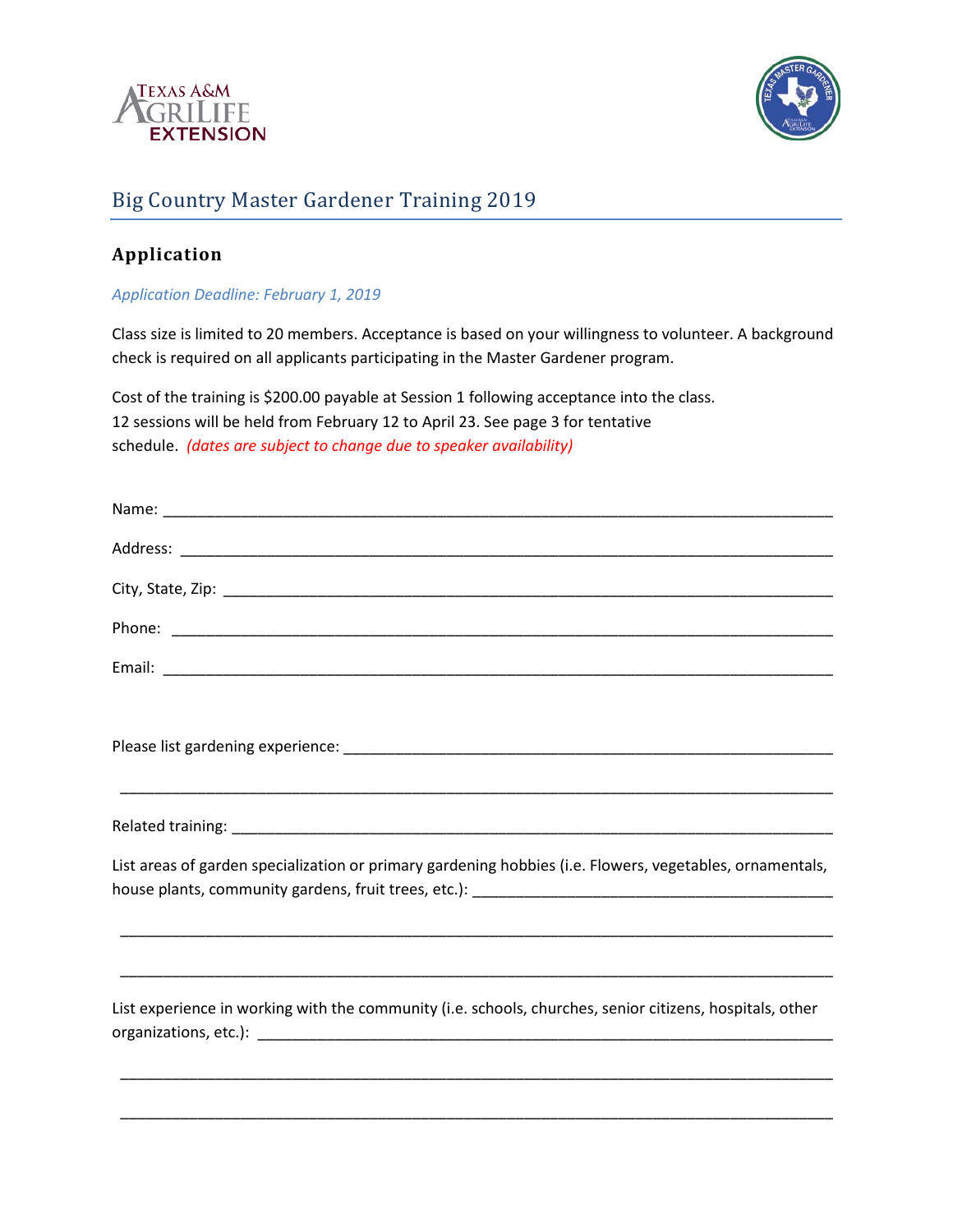



## Big Country Master Gardener Training 2019

## **Application**

*Application Deadline: February 1, 2019*

Class size is limited to 20 members. Acceptance is based on your willingness to volunteer. A background check is required on all applicants participating in the Master Gardener program.

Cost of the training is \$200.00 payable at Session 1 following acceptance into the class. 12 sessions will be held from February 12 to April 23. See page 3 for tentative schedule. *(dates are subject to change due to speaker availability)* 

| List areas of garden specialization or primary gardening hobbies (i.e. Flowers, vegetables, ornamentals, |
|----------------------------------------------------------------------------------------------------------|
|                                                                                                          |
|                                                                                                          |
| List experience in working with the community (i.e. schools, churches, senior citizens, hospitals, other |
|                                                                                                          |
|                                                                                                          |
|                                                                                                          |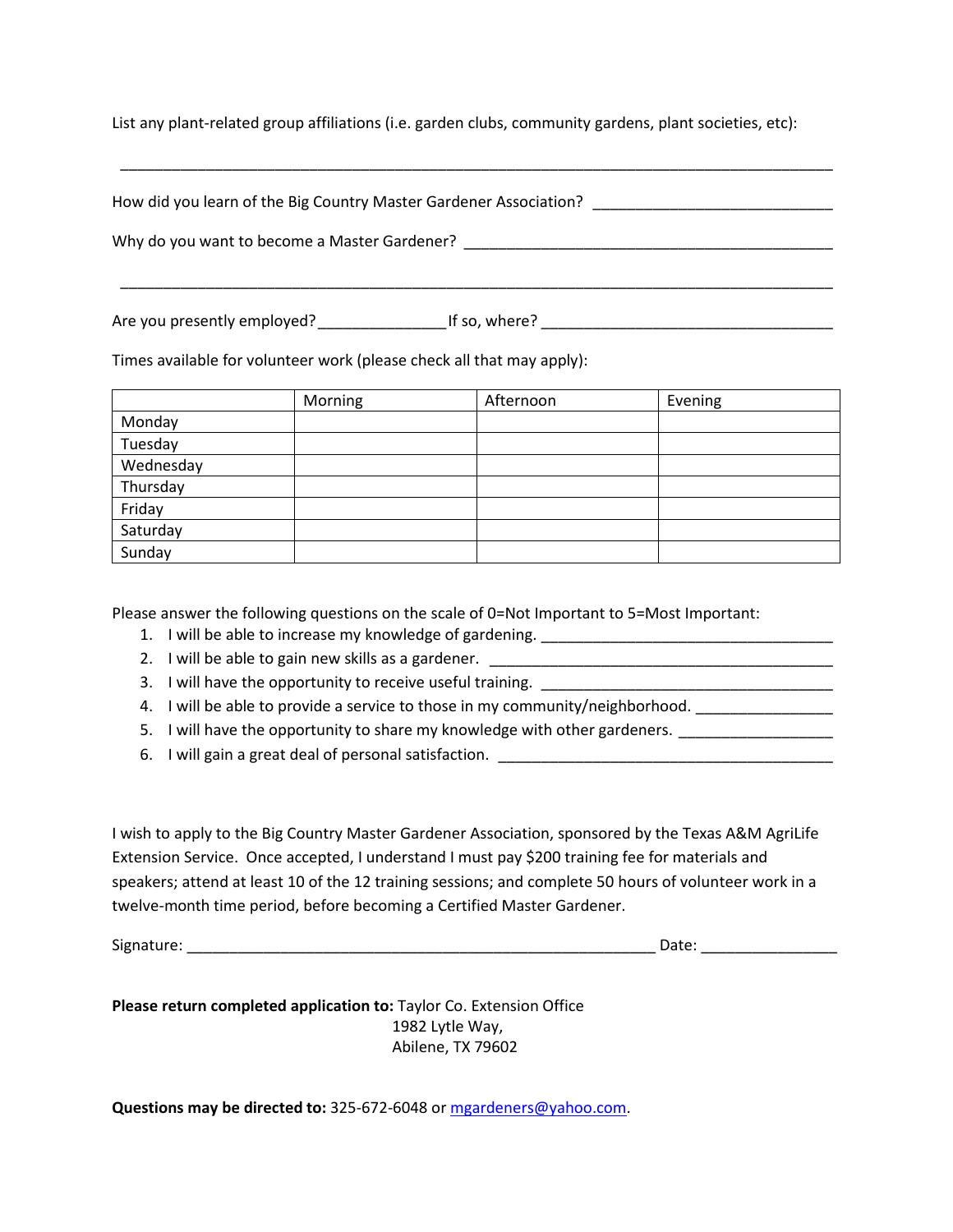List any plant-related group affiliations (i.e. garden clubs, community gardens, plant societies, etc):

How did you learn of the Big Country Master Gardener Association? \_\_\_\_\_\_\_\_\_\_\_\_\_\_\_\_\_\_\_\_\_\_\_\_\_\_\_\_

\_\_\_\_\_\_\_\_\_\_\_\_\_\_\_\_\_\_\_\_\_\_\_\_\_\_\_\_\_\_\_\_\_\_\_\_\_\_\_\_\_\_\_\_\_\_\_\_\_\_\_\_\_\_\_\_\_\_\_\_\_\_\_\_\_\_\_\_\_\_\_\_\_\_\_\_\_\_\_\_\_\_\_

\_\_\_\_\_\_\_\_\_\_\_\_\_\_\_\_\_\_\_\_\_\_\_\_\_\_\_\_\_\_\_\_\_\_\_\_\_\_\_\_\_\_\_\_\_\_\_\_\_\_\_\_\_\_\_\_\_\_\_\_\_\_\_\_\_\_\_\_\_\_\_\_\_\_\_\_\_\_\_\_\_\_\_

Why do you want to become a Master Gardener?  $\blacksquare$ 

Are you presently employed? \_\_\_\_\_\_\_\_\_\_\_\_\_\_\_If so, where? \_\_\_\_\_\_\_\_\_\_\_\_\_\_\_\_\_\_\_\_\_\_\_\_\_\_\_\_\_\_\_\_\_\_

Times available for volunteer work (please check all that may apply):

|           | Morning | Afternoon | Evening |
|-----------|---------|-----------|---------|
| Monday    |         |           |         |
| Tuesday   |         |           |         |
| Wednesday |         |           |         |
| Thursday  |         |           |         |
| Friday    |         |           |         |
| Saturday  |         |           |         |
| Sunday    |         |           |         |

Please answer the following questions on the scale of 0=Not Important to 5=Most Important:

- 1. I will be able to increase my knowledge of gardening.
- 2. I will be able to gain new skills as a gardener.

3. I will have the opportunity to receive useful training. \_\_\_\_\_\_\_\_

4. I will be able to provide a service to those in my community/neighborhood. \_\_\_\_\_\_\_\_\_\_\_\_\_\_\_\_\_\_\_\_\_

5. I will have the opportunity to share my knowledge with other gardeners. \_\_\_\_\_\_\_\_\_\_\_\_\_\_\_\_\_\_\_\_\_\_\_\_

6. I will gain a great deal of personal satisfaction.

I wish to apply to the Big Country Master Gardener Association, sponsored by the Texas A&M AgriLife Extension Service. Once accepted, I understand I must pay \$200 training fee for materials and speakers; attend at least 10 of the 12 training sessions; and complete 50 hours of volunteer work in a twelve-month time period, before becoming a Certified Master Gardener.

Signature: \_\_\_\_\_\_\_\_\_\_\_\_\_\_\_\_\_\_\_\_\_\_\_\_\_\_\_\_\_\_\_\_\_\_\_\_\_\_\_\_\_\_\_\_\_\_\_\_\_\_\_\_\_\_\_ Date: \_\_\_\_\_\_\_\_\_\_\_\_\_\_\_\_

**Please return completed application to:** Taylor Co. Extension Office 1982 Lytle Way, Abilene, TX 79602

**Questions may be directed to:** 325-672-6048 o[r mgardeners@yahoo.com.](mailto:mgardeners@yahoo.com)